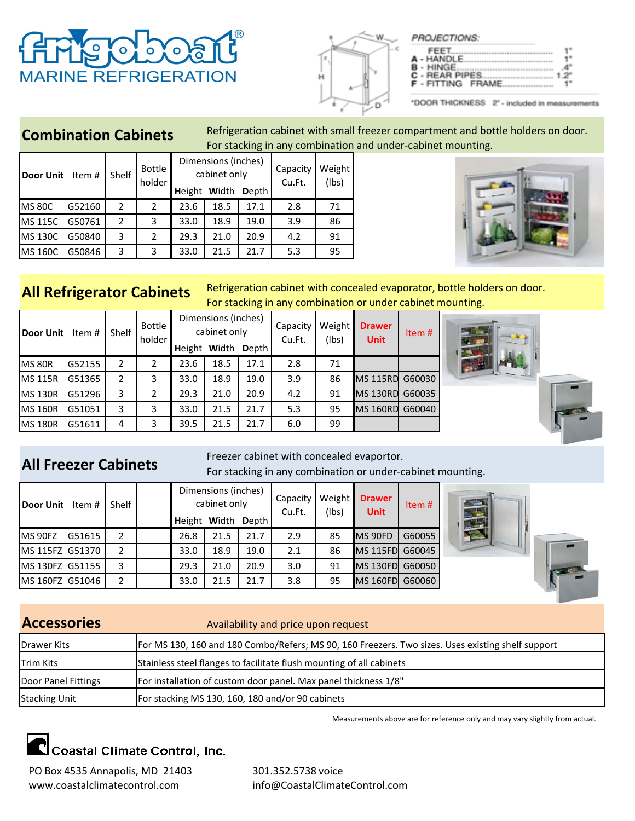|  |                          | F |
|--|--------------------------|---|
|  |                          | 4 |
|  | <b>F</b> - FITTING FRAME |   |

## **Combination Cabinets**

**RINE REFRIGERATION** 

Refrigeration cabinet with small freezer compartment and bottle holders on door. For stacking in any combination and under‐cabinet mounting.

| Door Unit      | Item#  | Shelf | Bottle<br>holder | <b>Height</b> | Dimensions (inches)<br>cabinet only<br>Width | <b>D</b> epth | Capacity<br>Cu.Ft. | Weight<br>(lbs) |
|----------------|--------|-------|------------------|---------------|----------------------------------------------|---------------|--------------------|-----------------|
| <b>MS 80C</b>  | G52160 | 2     | 2                | 23.6          | 18.5                                         | 17.1          | 2.8                | 71              |
| <b>MS 115C</b> | G50761 | 2     | 3                | 33.0          | 18.9                                         | 19.0          | 3.9                | 86              |
| <b>MS 130C</b> | G50840 | 3     | $\overline{2}$   | 29.3          | 21.0                                         | 20.9          | 4.2                | 91              |
| <b>MS 160C</b> | G50846 | 3     | 3                | 33.0          | 21.5                                         | 21.7          | 5.3                | 95              |



# **All Refrigerator Cabinets**

Refrigeration cabinet with concealed evaporator, bottle holders on door. For stacking in any combination or under cabinet mounting.

| Door Unit      | Item # | <b>Shelf</b> | <b>Bottle</b><br>holder | Height | Dimensions (inches)<br>cabinet only<br>Width | <b>D</b> epth | Capacity<br>Cu.Ft. | Weight<br>(lbs) | <b>Drawer</b><br><b>Unit</b> | Item # |
|----------------|--------|--------------|-------------------------|--------|----------------------------------------------|---------------|--------------------|-----------------|------------------------------|--------|
| <b>MS 80R</b>  | G52155 | 2            | 2                       | 23.6   | 18.5                                         | 17.1          | 2.8                | 71              |                              |        |
| <b>MS 115R</b> | G51365 | 2            | 3                       | 33.0   | 18.9                                         | 19.0          | 3.9                | 86              | <b>MS 115RD</b>              | G60030 |
| <b>MS 130R</b> | G51296 | 3            | 2                       | 29.3   | 21.0                                         | 20.9          | 4.2                | 91              | <b>MS 130RD</b>              | G60035 |
| <b>MS 160R</b> | G51051 | 3            | 3                       | 33.0   | 21.5                                         | 21.7          | 5.3                | 95              | <b>MS 160RD</b>              | G60040 |
| <b>MS 180R</b> | G51611 | 4            | 3                       | 39.5   | 21.5                                         | 21.7          | 6.0                | 99              |                              |        |



# **All Freezer Cabinets**

Freezer cabinet with concealed evaportor. For stacking in any combination or under‐cabinet mounting.

| Door Unit       | Item # | Shelf          | <b>Height Width</b> | Dimensions (inches)<br>cabinet only | <b>D</b> epth | Capacity<br>Cu.Ft. | Weight<br>(lbs) | <b>Drawer</b><br><b>Unit</b> | Item $#$ |
|-----------------|--------|----------------|---------------------|-------------------------------------|---------------|--------------------|-----------------|------------------------------|----------|
| MS 90FZ         | G51615 | $\overline{2}$ | 26.8                | 21.5                                | 21.7          | 2.9                | 85              | MS 90FD                      | G60055   |
| MS 115FZ G51370 |        | 2              | 33.0                | 18.9                                | 19.0          | 2.1                | 86              | MS 115FD                     | G60045   |
| MS 130FZ G51155 |        | 3              | 29.3                | 21.0                                | 20.9          | 3.0                | 91              | MS 130FD                     | G60050   |
| MS 160FZ G51046 |        | 2              | 33.0                | 21.5                                | 21.7          | 3.8                | 95              | <b>MS 160FD</b>              | G60060   |



### Availability and price upon request Drawer Kits Trim Kits Door Panel Fittings Stacking Unit **Accessories** For MS 130, 160 and 180 Combo/Refers; MS 90, 160 Freezers. Two sizes. Uses existing shelf support Stainless steel flanges to facilitate flush mounting of all cabinets For installation of custom door panel. Max panel thickness 1/8" For stacking MS 130, 160, 180 and/or 90 cabinets

Measurements above are for reference only and may vary slightly from actual.

# Coastal Climate Control, Inc.

PO Box 4535 Annapolis, MD 21403 301.352.5738 voice www.coastalclimatecontrol.com info@CoastalClimateControl.com